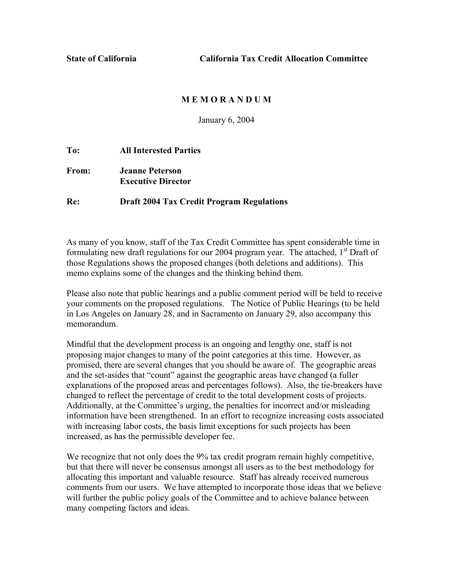**State of California California Tax Credit Allocation Committee** 

## **M E M O R A N D U M**

January 6, 2004

## **To: All Interested Parties**

# **From: Jeanne Peterson Executive Director**

#### **Re: Draft 2004 Tax Credit Program Regulations**

As many of you know, staff of the Tax Credit Committee has spent considerable time in formulating new draft regulations for our 2004 program year. The attached,  $1<sup>st</sup>$  Draft of those Regulations shows the proposed changes (both deletions and additions). This memo explains some of the changes and the thinking behind them.

Please also note that public hearings and a public comment period will be held to receive your comments on the proposed regulations. The Notice of Public Hearings (to be held in Los Angeles on January 28, and in Sacramento on January 29, also accompany this memorandum.

Mindful that the development process is an ongoing and lengthy one, staff is not proposing major changes to many of the point categories at this time. However, as promised, there are several changes that you should be aware of. The geographic areas and the set-asides that "count" against the geographic areas have changed (a fuller explanations of the proposed areas and percentages follows). Also, the tie-breakers have changed to reflect the percentage of credit to the total development costs of projects. Additionally, at the Committee's urging, the penalties for incorrect and/or misleading information have been strengthened. In an effort to recognize increasing costs associated with increasing labor costs, the basis limit exceptions for such projects has been increased, as has the permissible developer fee.

We recognize that not only does the 9% tax credit program remain highly competitive, but that there will never be consensus amongst all users as to the best methodology for allocating this important and valuable resource. Staff has already received numerous comments from our users. We have attempted to incorporate those ideas that we believe will further the public policy goals of the Committee and to achieve balance between many competing factors and ideas.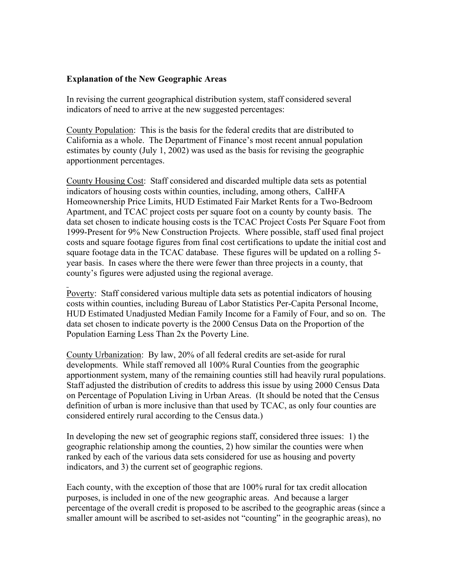## **Explanation of the New Geographic Areas**

In revising the current geographical distribution system, staff considered several indicators of need to arrive at the new suggested percentages:

County Population: This is the basis for the federal credits that are distributed to California as a whole. The Department of Finance's most recent annual population estimates by county (July 1, 2002) was used as the basis for revising the geographic apportionment percentages.

County Housing Cost: Staff considered and discarded multiple data sets as potential indicators of housing costs within counties, including, among others, CalHFA Homeownership Price Limits, HUD Estimated Fair Market Rents for a Two-Bedroom Apartment, and TCAC project costs per square foot on a county by county basis. The data set chosen to indicate housing costs is the TCAC Project Costs Per Square Foot from 1999-Present for 9% New Construction Projects. Where possible, staff used final project costs and square footage figures from final cost certifications to update the initial cost and square footage data in the TCAC database. These figures will be updated on a rolling 5 year basis. In cases where the there were fewer than three projects in a county, that county's figures were adjusted using the regional average.

Poverty: Staff considered various multiple data sets as potential indicators of housing costs within counties, including Bureau of Labor Statistics Per-Capita Personal Income, HUD Estimated Unadjusted Median Family Income for a Family of Four, and so on. The data set chosen to indicate poverty is the 2000 Census Data on the Proportion of the Population Earning Less Than 2x the Poverty Line.

County Urbanization: By law, 20% of all federal credits are set-aside for rural developments. While staff removed all 100% Rural Counties from the geographic apportionment system, many of the remaining counties still had heavily rural populations. Staff adjusted the distribution of credits to address this issue by using 2000 Census Data on Percentage of Population Living in Urban Areas. (It should be noted that the Census definition of urban is more inclusive than that used by TCAC, as only four counties are considered entirely rural according to the Census data.)

In developing the new set of geographic regions staff, considered three issues: 1) the geographic relationship among the counties, 2) how similar the counties were when ranked by each of the various data sets considered for use as housing and poverty indicators, and 3) the current set of geographic regions.

Each county, with the exception of those that are 100% rural for tax credit allocation purposes, is included in one of the new geographic areas. And because a larger percentage of the overall credit is proposed to be ascribed to the geographic areas (since a smaller amount will be ascribed to set-asides not "counting" in the geographic areas), no